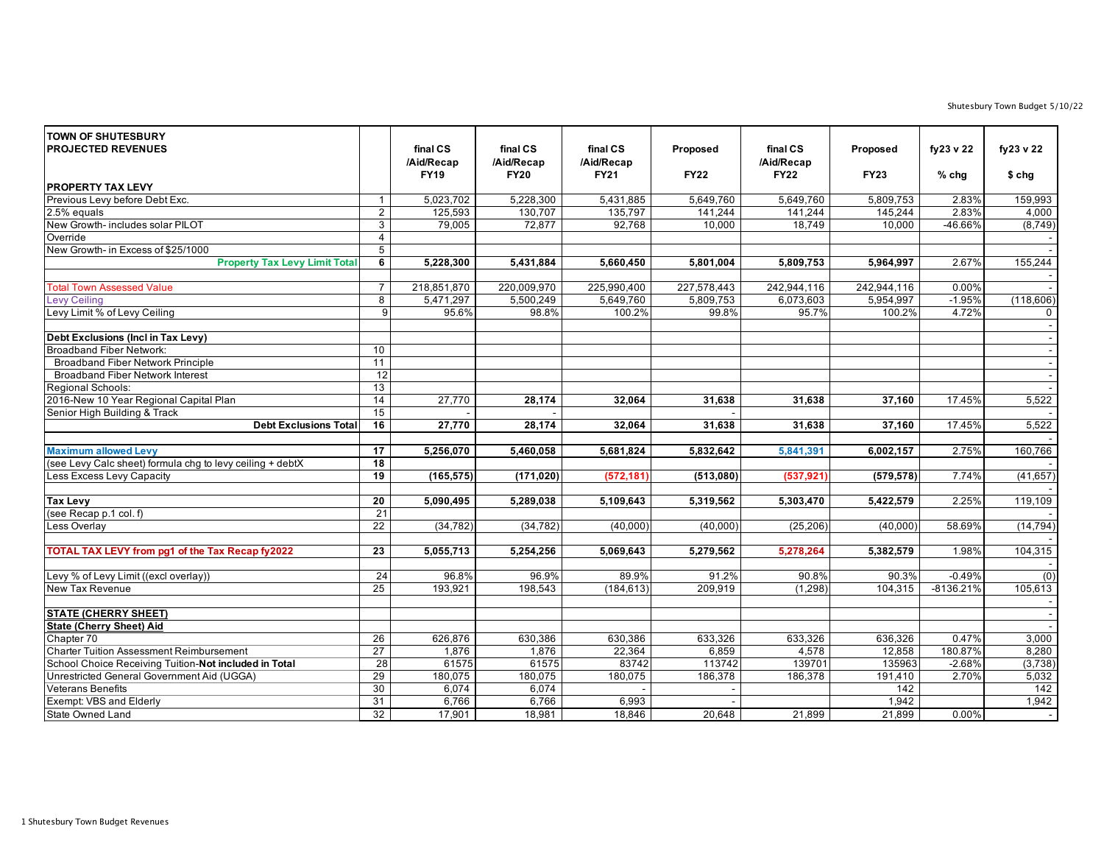Shutesbury Town Budget 5/10/22

| <b>TOWN OF SHUTESBURY</b><br><b>PROJECTED REVENUES</b><br><b>PROPERTY TAX LEVY</b> |                 | final CS<br>/Aid/Recap<br><b>FY19</b> | final CS<br>/Aid/Recap<br><b>FY20</b> | final CS<br>/Aid/Recap<br><b>FY21</b> | Proposed<br><b>FY22</b> | final CS<br>/Aid/Recap<br><b>FY22</b> | Proposed<br><b>FY23</b> | fy23 v 22<br>$%$ chg | fy23 v 22<br>$$$ chg |
|------------------------------------------------------------------------------------|-----------------|---------------------------------------|---------------------------------------|---------------------------------------|-------------------------|---------------------------------------|-------------------------|----------------------|----------------------|
| Previous Levy before Debt Exc.                                                     | $\mathbf{1}$    | 5,023,702                             | 5,228,300                             | 5,431,885                             | 5,649,760               | 5,649,760                             | 5,809,753               | 2.83%                | 159,993              |
| 2.5% equals                                                                        | $\overline{2}$  | 125,593                               | 130,707                               | 135,797                               | 141,244                 | 141,244                               | 145,244                 | 2.83%                | 4,000                |
| New Growth- includes solar PILOT                                                   | 3               | 79,005                                | 72,877                                | 92,768                                | 10,000                  | 18,749                                | 10,000                  | -46.66%              | (8,749)              |
| Override                                                                           | $\overline{4}$  |                                       |                                       |                                       |                         |                                       |                         |                      |                      |
| New Growth- in Excess of \$25/1000                                                 | 5               |                                       |                                       |                                       |                         |                                       |                         |                      |                      |
| <b>Property Tax Levy Limit Total</b>                                               | 6               | 5,228,300                             | 5,431,884                             | 5,660,450                             | 5,801,004               | 5,809,753                             | 5,964,997               | 2.67%                | 155,244              |
| <b>Total Town Assessed Value</b>                                                   | $\overline{7}$  | 218,851,870                           | 220,009,970                           | 225,990,400                           | 227,578,443             | 242,944,116                           | 242,944,116             | 0.00%                |                      |
| <b>Levy Ceiling</b>                                                                | $\overline{8}$  | 5,471,297                             | 5,500,249                             | 5,649,760                             | 5,809,753               | 6,073,603                             | 5,954,997               | $-1.95%$             | (118,606)            |
| Levy Limit % of Levy Ceiling                                                       | 9               | 95.6%                                 | 98.8%                                 | 100.2%                                | 99.8%                   | 95.7%                                 | 100.2%                  | 4.72%                | $\overline{0}$       |
| Debt Exclusions (Incl in Tax Levy)                                                 |                 |                                       |                                       |                                       |                         |                                       |                         |                      | $\sim$<br>$\sim$     |
| <b>Broadband Fiber Network:</b>                                                    | 10              |                                       |                                       |                                       |                         |                                       |                         |                      | $\sim$               |
| <b>Broadband Fiber Network Principle</b>                                           | $\overline{11}$ |                                       |                                       |                                       |                         |                                       |                         |                      | $\sim$               |
| <b>Broadband Fiber Network Interest</b>                                            | $\overline{12}$ |                                       |                                       |                                       |                         |                                       |                         |                      | $\sim$               |
| Regional Schools:                                                                  | 13              |                                       |                                       |                                       |                         |                                       |                         |                      |                      |
| 2016-New 10 Year Regional Capital Plan                                             | 14              | 27,770                                | 28,174                                | 32,064                                | 31,638                  | 31,638                                | 37,160                  | 17.45%               | 5,522                |
| Senior High Building & Track                                                       | 15              |                                       |                                       |                                       |                         |                                       |                         |                      |                      |
| <b>Debt Exclusions Total</b>                                                       | 16              | 27,770                                | 28,174                                | 32,064                                | 31,638                  | 31,638                                | 37,160                  | 17.45%               | 5,522                |
| <b>Maximum allowed Levy</b>                                                        | $\overline{17}$ | 5,256,070                             | 5,460,058                             | 5,681,824                             | 5,832,642               | 5,841,391                             | 6,002,157               | 2.75%                | 160,766              |
| (see Levy Calc sheet) formula chg to levy ceiling + debtX                          | 18              |                                       |                                       |                                       |                         |                                       |                         |                      |                      |
| Less Excess Levy Capacity                                                          | 19              | (165, 575)                            | (171, 020)                            | (572, 181)                            | (513,080)               | (537, 921)                            | (579, 578)              | 7.74%                | (41, 657)            |
|                                                                                    |                 |                                       |                                       |                                       |                         |                                       |                         |                      |                      |
| <b>Tax Levy</b>                                                                    | $\overline{20}$ | 5,090,495                             | 5,289,038                             | 5,109,643                             | 5,319,562               | 5,303,470                             | 5,422,579               | 2.25%                | 119,109              |
| (see Recap p.1 col. f)                                                             | $\overline{21}$ |                                       |                                       |                                       |                         |                                       |                         |                      |                      |
| Less Overlay                                                                       | 22              | (34, 782)                             | (34, 782)                             | (40,000)                              | (40.000)                | (25, 206)                             | (40.000)                | 58.69%               | (14, 794)            |
| TOTAL TAX LEVY from pg1 of the Tax Recap fy2022                                    | 23              | 5,055,713                             | 5,254,256                             | 5,069,643                             | 5,279,562               | 5,278,264                             | 5,382,579               | 1.98%                | 104,315              |
| Levy % of Levy Limit ((excl overlay))                                              | 24              | 96.8%                                 | 96.9%                                 | 89.9%                                 | 91.2%                   | 90.8%                                 | 90.3%                   | $-0.49%$             | (0)                  |
| New Tax Revenue                                                                    | 25              | 193,921                               | 198,543                               | (184, 613)                            | 209,919                 | (1, 298)                              | 104,315                 | $-8136.21%$          | 105,613              |
| <b>STATE (CHERRY SHEET)</b>                                                        |                 |                                       |                                       |                                       |                         |                                       |                         |                      | $\sim$<br>$\sim$     |
| <b>State (Cherry Sheet) Aid</b>                                                    |                 |                                       |                                       |                                       |                         |                                       |                         |                      |                      |
| Chapter 70                                                                         | 26              | 626,876                               | 630,386                               | 630,386                               | 633,326                 | 633,326                               | 636,326                 | 0.47%                | 3,000                |
| <b>Charter Tuition Assessment Reimbursement</b>                                    | 27              | 1,876                                 | 1,876                                 | 22,364                                | 6,859                   | 4,578                                 | 12,858                  | 180.87%              | 8,280                |
| School Choice Receiving Tuition-Not included in Total                              | 28              | 61575                                 | 61575                                 | 83742                                 | 113742                  | 139701                                | 135963                  | $-2.68%$             | (3,738)              |
| Unrestricted General Government Aid (UGGA)                                         | 29              | 180,075                               | 180,075                               | 180,075                               | 186,378                 | 186,378                               | 191,410                 | 2.70%                | 5,032                |
| <b>Veterans Benefits</b>                                                           | 30              | 6.074                                 | 6,074                                 |                                       |                         |                                       | $\overline{142}$        |                      | $\overline{142}$     |
| Exempt: VBS and Elderly                                                            | 31              | 6,766                                 | 6,766                                 | 6,993                                 |                         |                                       | 1,942                   |                      | 1,942                |
| State Owned Land                                                                   | 32              | 17,901                                | 18,981                                | 18,846                                | 20,648                  | 21,899                                | 21,899                  | 0.00%                | $\sim$               |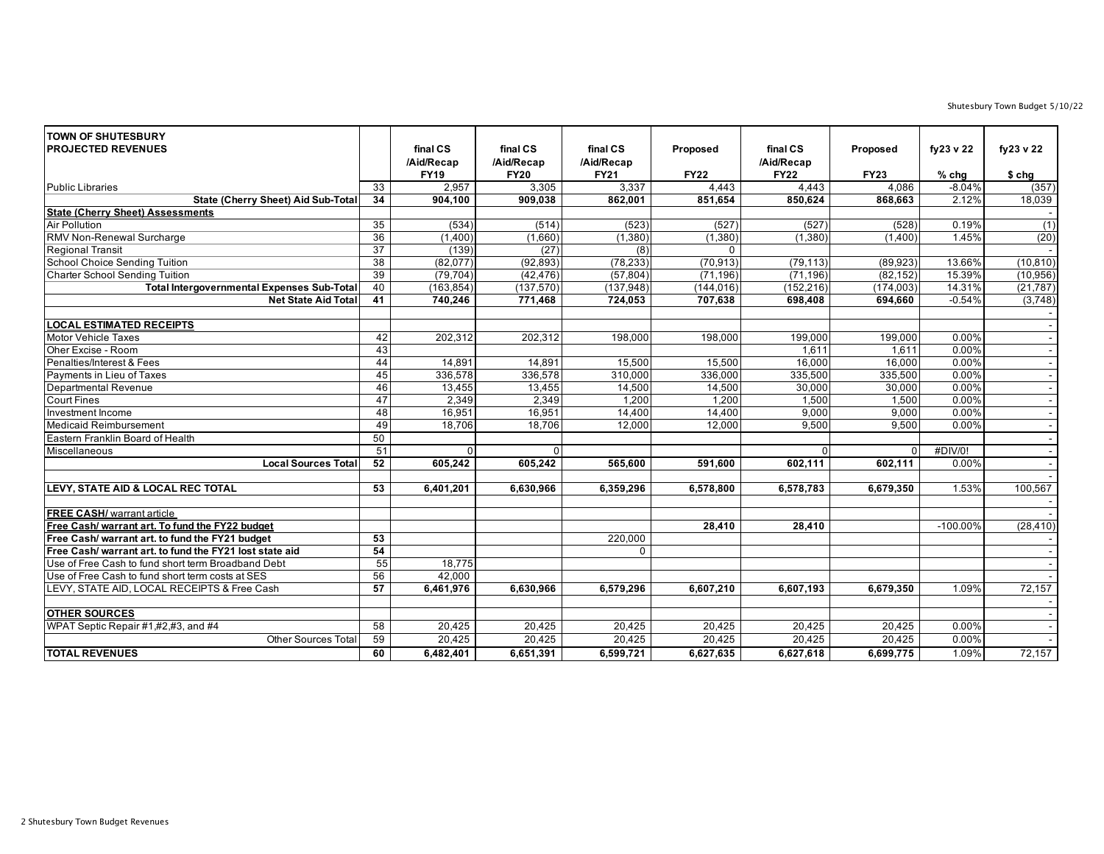Shutesbury Town Budget 5/10/22

| <b>TOWN OF SHUTESBURY</b><br><b>PROJECTED REVENUES</b>  |                 | final CS<br>/Aid/Recap | final CS<br>/Aid/Recap | final CS<br>/Aid/Recap | Proposed    | final CS<br>/Aid/Recap | Proposed    | fy23 v 22   | fy23 v 22 |
|---------------------------------------------------------|-----------------|------------------------|------------------------|------------------------|-------------|------------------------|-------------|-------------|-----------|
|                                                         |                 | <b>FY19</b>            | <b>FY20</b>            | <b>FY21</b>            | <b>FY22</b> | <b>FY22</b>            | <b>FY23</b> | $%$ chg     | $$$ chg   |
| <b>Public Libraries</b>                                 | $\overline{33}$ | 2,957                  | 3,305                  | 3,337                  | 4,443       | 4,443                  | 4.086       | $-8.04%$    | (357)     |
| <b>State (Cherry Sheet) Aid Sub-Total</b>               | $\overline{34}$ | 904.100                | 909,038                | 862,001                | 851,654     | 850,624                | 868,663     | 2.12%       | 18,039    |
| <b>State (Cherry Sheet) Assessments</b>                 |                 |                        |                        |                        |             |                        |             |             |           |
| Air Pollution                                           | $\overline{35}$ | (534)                  | (514)                  | (523)                  | (527)       | (527)                  | (528)       | 0.19%       | (1)       |
| RMV Non-Renewal Surcharge                               | 36              | (1,400)                | (1,660)                | (1,380)                | (1,380)     | (1, 380)               | (1,400)     | 1.45%       | (20)      |
| <b>Regional Transit</b>                                 | $\overline{37}$ | (139)                  | (27)                   | (8)                    |             |                        |             |             |           |
| <b>School Choice Sending Tuition</b>                    | 38              | (82,077)               | (92, 893)              | (78, 233)              | (70, 913)   | (79, 113)              | (89, 923)   | 13.66%      | (10, 810) |
| <b>Charter School Sending Tuition</b>                   | 39              | (79, 704)              | (42, 476)              | (57, 804)              | (71, 196)   | (71, 196)              | (82, 152)   | 15.39%      | (10, 956) |
| <b>Total Intergovernmental Expenses Sub-Total</b>       | 40              | (163, 854)             | (137, 570)             | (137, 948)             | (144, 016)  | (152, 216)             | (174, 003)  | 14.31%      | (21, 787) |
| <b>Net State Aid Total</b>                              | 41              | 740,246                | 771,468                | 724,053                | 707,638     | 698,408                | 694,660     | $-0.54%$    | (3,748)   |
| <b>LOCAL ESTIMATED RECEIPTS</b>                         |                 |                        |                        |                        |             |                        |             |             |           |
| <b>Motor Vehicle Taxes</b>                              | 42              | 202,312                | 202,312                | 198,000                | 198,000     | 199,000                | 199,000     | 0.00%       | $\sim$    |
| Oher Excise - Room                                      | 43              |                        |                        |                        |             | 1,611                  | 1,611       | 0.00%       |           |
| Penalties/Interest & Fees                               | 44              | 14,891                 | 14,891                 | 15,500                 | 15,500      | 16,000                 | 16,000      | 0.00%       |           |
| Payments in Lieu of Taxes                               | 45              | 336,578                | 336,578                | 310,000                | 336,000     | 335,500                | 335,500     | 0.00%       |           |
| Departmental Revenue                                    | 46              | 13,455                 | 13,455                 | 14,500                 | 14,500      | 30,000                 | 30,000      | 0.00%       | $\sim$    |
| <b>Court Fines</b>                                      | 47              | 2,349                  | 2,349                  | 1,200                  | 1,200       | 1,500                  | 1,500       | 0.00%       |           |
| Investment Income                                       | 48              | 16,951                 | 16,951                 | 14,400                 | 14,400      | 9,000                  | 9,000       | 0.00%       |           |
| <b>Medicaid Reimbursement</b>                           | 49              | 18,706                 | 18,706                 | 12,000                 | 12,000      | 9.500                  | 9,500       | 0.00%       |           |
| Eastern Franklin Board of Health                        | 50              |                        |                        |                        |             |                        |             |             | $\sim$    |
| Miscellaneous                                           | 51              | $\Omega$               |                        |                        |             | $\Omega$               | $\Omega$    | #DIV/0!     |           |
| <b>Local Sources Total</b>                              | $\overline{52}$ | 605,242                | 605,242                | 565,600                | 591.600     | 602,111                | 602,111     | 0.00%       |           |
|                                                         |                 |                        |                        |                        |             |                        |             |             |           |
| LEVY, STATE AID & LOCAL REC TOTAL                       | 53              | 6.401.201              | 6.630.966              | 6,359,296              | 6,578,800   | 6,578,783              | 6.679.350   | 1.53%       | 100,567   |
|                                                         |                 |                        |                        |                        |             |                        |             |             |           |
| <b>FREE CASH/</b> warrant article                       |                 |                        |                        |                        |             |                        |             |             |           |
| Free Cash/ warrant art. To fund the FY22 budget         |                 |                        |                        |                        | 28.410      | 28,410                 |             | $-100.00\%$ | (28, 410) |
| Free Cash/ warrant art. to fund the FY21 budget         | $\overline{53}$ |                        |                        | 220,000                |             |                        |             |             |           |
| Free Cash/ warrant art. to fund the FY21 lost state aid | 54              |                        |                        | $\mathbf 0$            |             |                        |             |             |           |
| Use of Free Cash to fund short term Broadband Debt      | 55              | 18,775                 |                        |                        |             |                        |             |             |           |
| Use of Free Cash to fund short term costs at SES        | 56              | 42,000                 |                        |                        |             |                        |             |             |           |
| LEVY, STATE AID, LOCAL RECEIPTS & Free Cash             | 57              | 6,461,976              | 6,630,966              | 6,579,296              | 6,607,210   | 6,607,193              | 6,679,350   | 1.09%       | 72,157    |
| <b>OTHER SOURCES</b>                                    |                 |                        |                        |                        |             |                        |             |             |           |
| WPAT Septic Repair #1,#2,#3, and #4                     | 58              | 20,425                 | 20,425                 | 20,425                 | 20,425      | 20,425                 | 20,425      | 0.00%       |           |
| <b>Other Sources Tota</b>                               | 59              | 20,425                 | 20,425                 | 20,425                 | 20,425      | 20,425                 | 20,425      | 0.00%       |           |
| <b>TOTAL REVENUES</b>                                   | 60              | 6,482,401              | 6,651,391              | 6,599,721              | 6,627,635   | 6,627,618              | 6,699,775   | 1.09%       | 72,157    |
|                                                         |                 |                        |                        |                        |             |                        |             |             |           |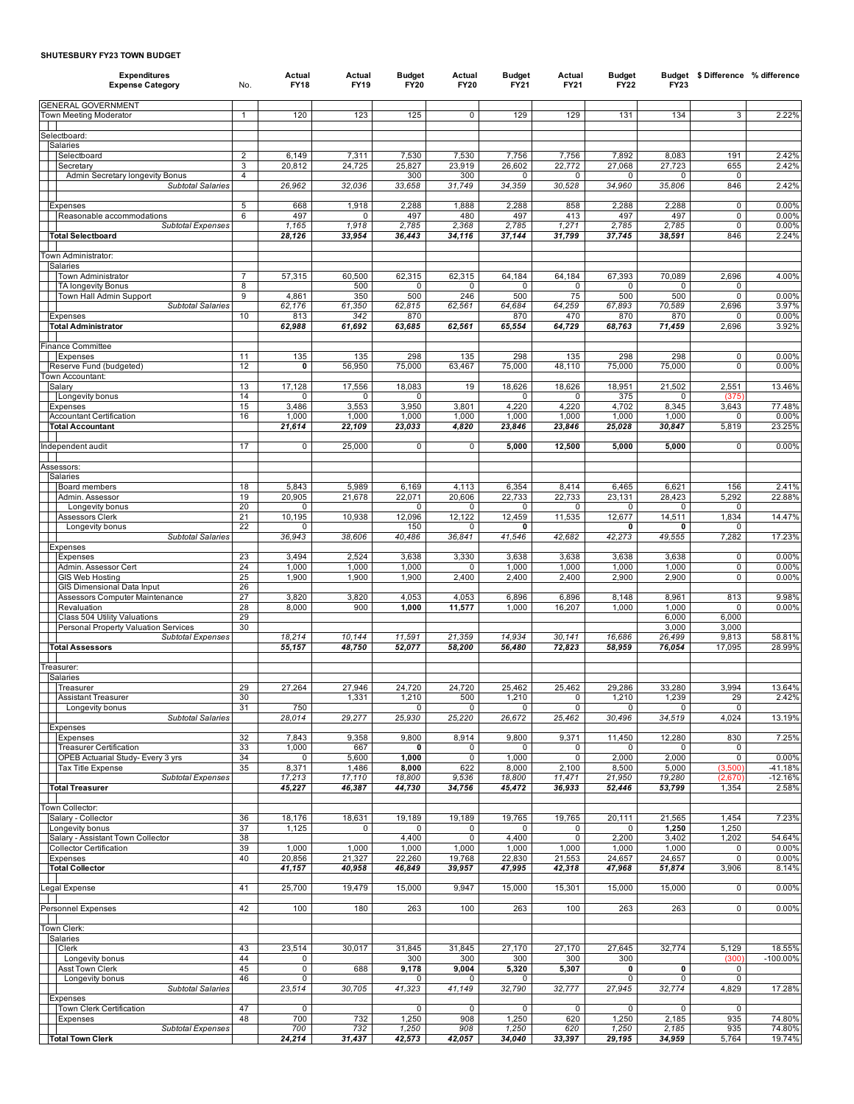## **SHUTESBURY FY23 TOWN BUDGET**

| <b>Expenditures</b><br><b>Expense Category</b>                | No.          | Actual<br><b>FY18</b> | Actual<br><b>FY19</b> | <b>Budget</b><br><b>FY20</b> | Actual<br><b>FY20</b> | <b>Budget</b><br><b>FY21</b> | Actual<br><b>FY21</b> | <b>Budget</b><br><b>FY22</b> | <b>FY23</b>           | Budget \$Difference % difference |                      |
|---------------------------------------------------------------|--------------|-----------------------|-----------------------|------------------------------|-----------------------|------------------------------|-----------------------|------------------------------|-----------------------|----------------------------------|----------------------|
| <b>GENERAL GOVERNMENT</b><br>Town Meeting Moderator           | $\mathbf{1}$ | 120                   | 123                   | 125                          | 0                     | 129                          | 129                   | 131                          | 134                   | 3                                | 2.22%                |
|                                                               |              |                       |                       |                              |                       |                              |                       |                              |                       |                                  |                      |
| Selectboard:<br>Salaries                                      |              |                       |                       |                              |                       |                              |                       |                              |                       |                                  |                      |
| Selectboard                                                   | 2            | 6,149                 | 7,311                 | 7,530                        | 7,530                 | 7,756                        | 7,756                 | 7,892                        | 8,083                 | 191                              | 2.42%                |
| Secretarv<br>Admin Secretary longevity Bonus                  | 3<br>4       | 20,812                | 24,725                | 25,827<br>300                | 23,919<br>300         | 26,602<br>0                  | 22,772<br>0           | 27,068<br>0                  | 27,723<br>$\mathbf 0$ | 655<br>0                         | 2.42%                |
| <b>Subtotal Salaries</b>                                      |              | 26,962                | 32,036                | 33,658                       | 31,749                | 34,359                       | 30,528                | 34,960                       | 35,806                | 846                              | 2.42%                |
| Expenses                                                      | 5            | 668                   | 1,918                 | 2,288                        | 1,888                 | 2,288                        | 858                   | 2,288                        | 2,288                 | 0                                | 0.00%                |
| Reasonable accommodations                                     | 6            | 497                   | $\Omega$              | 497                          | 480                   | 497                          | 413                   | 497                          | 497                   | 0                                | 0.00%                |
| Subtotal Expenses<br><b>Total Selectboard</b>                 |              | 1,165<br>28,126       | 1,918<br>33,954       | 2,785<br>36,443              | 2,368<br>34,116       | 2,785<br>37,144              | 1,271<br>31,799       | 2,785<br>37,745              | 2,785                 | 0<br>846                         | 0.00%<br>2.24%       |
|                                                               |              |                       |                       |                              |                       |                              |                       |                              | 38,591                |                                  |                      |
| Town Administrator:                                           |              |                       |                       |                              |                       |                              |                       |                              |                       |                                  |                      |
| Salaries<br>Town Administrator                                | 7            | 57,315                | 60,500                | 62,315                       | 62,315                | 64,184                       | 64,184                | 67,393                       | 70,089                | 2,696                            | 4.00%                |
| <b>TA longevity Bonus</b>                                     | 8            |                       | 500                   | 0                            | $\mathbf{0}$          | $\mathbf 0$                  | 0                     | 0                            | 0                     | 0                                |                      |
| Town Hall Admin Support<br><b>Subtotal Salaries</b>           | 9            | 4,861<br>62,176       | 350<br>61,350         | 500<br>62,815                | 246<br>62,561         | 500<br>64,684                | 75<br>64,259          | 500<br>67,893                | 500<br>70,589         | 0<br>2,696                       | 0.00%<br>3.97%       |
| Expenses                                                      | 10           | 813                   | 342                   | 870                          |                       | 870                          | 470                   | 870                          | 870                   | 0                                | 0.00%                |
| <b>Total Administrator</b>                                    |              | 62,988                | 61,692                | 63,685                       | 62,561                | 65,554                       | 64,729                | 68,763                       | 71,459                | 2,696                            | 3.92%                |
| Finance Committee                                             |              |                       |                       |                              |                       |                              |                       |                              |                       |                                  |                      |
| Expenses<br>Reserve Fund (budgeted)                           | 11<br>12     | 135<br>0              | 135<br>56,950         | 298<br>75,000                | 135<br>63,467         | 298<br>75,000                | 135<br>48,110         | 298<br>75,000                | 298<br>75,000         | 0<br>0                           | 0.00%<br>0.00%       |
| Town Accountant:                                              |              |                       |                       |                              |                       |                              |                       |                              |                       |                                  |                      |
| Salary<br>Longevity bonus                                     | 13<br>14     | 17,128<br>0           | 17,556<br>0           | 18,083<br>0                  | 19                    | 18,626<br>0                  | 18,626<br>0           | 18,951<br>375                | 21,502<br>0           | 2,551<br>(375                    | 13.46%               |
| Expenses                                                      | 15           | 3,486                 | 3,553                 | 3,950                        | 3,801                 | 4,220                        | 4,220                 | 4,702                        | 8,345                 | 3,643                            | 77.48%               |
| Accountant Certification<br><b>Total Accountant</b>           | 16           | 1,000<br>21,614       | 1,000<br>22,109       | 1,000<br>23,033              | 1,000<br>4,820        | 1,000<br>23,846              | 1,000<br>23,846       | 1,000<br>25,028              | 1,000<br>30,847       | 0<br>5,819                       | 0.00%<br>23.25%      |
|                                                               |              |                       |                       |                              |                       |                              |                       |                              |                       |                                  |                      |
| Independent audit                                             | 17           | $\mathbf 0$           | 25,000                | $\pmb{0}$                    | $\mathbf 0$           | 5,000                        | 12,500                | 5,000                        | 5,000                 | 0                                | 0.00%                |
| Assessors:                                                    |              |                       |                       |                              |                       |                              |                       |                              |                       |                                  |                      |
| Salaries<br>Board members                                     | 18           | 5,843                 | 5,989                 | 6,169                        | 4,113                 | 6,354                        | 8,414                 | 6,465                        | 6,621                 | 156                              | 2.41%                |
| Admin. Assessor                                               | 19           | 20,905                | 21,678                | 22,071                       | 20,606                | 22,733                       | 22,733                | 23,131                       | 28,423                | 5,292                            | 22.88%               |
| Longevity bonus                                               | 20<br>21     | 0                     |                       | 0<br>12,096                  | 0<br>12,122           | 0<br>12,459                  | 0                     | 0                            | 0                     | 0                                | 14.47%               |
| Assessors Clerk<br>Longevity bonus                            | 22           | 10,195<br>$\Omega$    | 10,938                | 150                          | 0                     | 0                            | 11,535                | 12,677<br>0                  | 14,511<br>0           | 1,834<br>0                       |                      |
| <b>Subtotal Salaries</b>                                      |              | 36,943                | 38,606                | 40,486                       | 36,841                | 41,546                       | 42,682                | 42,273                       | 49,555                | 7,282                            | 17.23%               |
| Expenses<br>Expenses                                          | 23           | 3,494                 | 2,524                 | 3,638                        | 3,330                 | 3,638                        | 3,638                 | 3,638                        | 3,638                 | 0                                | 0.00%                |
| Admin. Assessor Cert                                          | 24           | 1,000                 | 1,000                 | 1,000                        | 0                     | 1,000                        | 1,000                 | 1,000                        | 1,000                 | 0                                | 0.00%                |
| <b>GIS Web Hosting</b><br>GIS Dimensional Data Input          | 25<br>26     | 1,900                 | 1,900                 | 1,900                        | 2,400                 | 2,400                        | 2,400                 | 2,900                        | 2,900                 | 0                                | 0.00%                |
| Assessors Computer Maintenance                                | 27           | 3,820                 | 3,820                 | 4,053                        | 4,053                 | 6,896                        | 6,896                 | 8,148                        | 8,961                 | 813                              | 9.98%                |
| Revaluation<br>Class 504 Utility Valuations                   | 28<br>29     | 8,000                 | 900                   | 1,000                        | 11,577                | 1,000                        | 16,207                | 1,000                        | 1,000<br>6,000        | 0<br>6,000                       | 0.00%                |
| Personal Property Valuation Services                          | 30           |                       |                       |                              |                       |                              |                       |                              | 3,000                 | 3,000                            |                      |
| Subtotal Expenses<br><b>Total Assessors</b>                   |              | 18,214<br>55,157      | 10,144<br>48,750      | 11,591<br>52,077             | 21,359<br>58,200      | 14,934<br>56,480             | 30,141<br>72,823      | 16,686<br>58,959             | 26,499<br>76,054      | 9,813<br>17,095                  | 58.81%<br>28.99%     |
|                                                               |              |                       |                       |                              |                       |                              |                       |                              |                       |                                  |                      |
| Treasurer:<br>Salaries                                        |              |                       |                       |                              |                       |                              |                       |                              |                       |                                  |                      |
| Treasurer                                                     | 29           | 27,264                | 27,946                | 24,720                       | 24,720                | 25,462                       | 25,462                | 29,286                       | 33,280                | 3,994                            | 13.64%               |
| <b>Assistant Treasurer</b><br>Longevity bonus                 | 30<br>31     | 750                   | 1,331                 | 1,210<br>$\Omega$            | 500<br>0              | 1,210<br>0                   | 0<br>0                | 1,210<br>0                   | 1,239<br>0            | 29<br>0                          | 2.42%                |
| <b>Subtotal Salaries</b>                                      |              | 28,014                | 29,277                | 25,930                       | 25,220                | 26,672                       | 25,462                | 30,496                       | 34,519                | 4,024                            | 13.19%               |
| Expenses<br>Expenses                                          | 32           | 7,843                 | 9,358                 | 9,800                        | 8,914                 | 9,800                        | 9,371                 | 11,450                       | 12,280                | 830                              | 7.25%                |
| <b>Treasurer Certification</b>                                | 33           | 1,000                 | 667                   | 0                            | 0                     | 0                            | 0                     | 0                            | 0                     | 0                                |                      |
| OPEB Actuarial Study- Every 3 yrs<br><b>Tax Title Expense</b> | 34<br>35     | 0<br>8,371            | 5,600<br>1,486        | 1,000<br>8,000               | 0<br>622              | 1,000<br>8,000               | 0<br>2,100            | 2,000<br>8,500               | 2,000<br>5,000        | $\overline{0}$<br>(3,500)        | 0.00%<br>$-41.18%$   |
| Subtotal Expenses                                             |              | 17,213                | 17,110                | 18,800                       | 9,536                 | 18,800                       | 11,471                | 21,950                       | 19,280                | (2,670)                          | $-12.16%$            |
| <b>Total Treasurer</b>                                        |              | 45,227                | 46,387                | 44,730                       | 34,756                | 45,472                       | 36,933                | 52,446                       | 53,799                | 1,354                            | 2.58%                |
| Town Collector:                                               |              |                       |                       |                              |                       |                              |                       |                              |                       |                                  |                      |
| Salary - Collector<br>Longevity bonus                         | 36<br>37     | 18,176<br>1,125       | 18,631<br>0           | 19,189<br>0                  | 19,189<br>0           | 19,765<br>0                  | 19,765<br>0           | 20,111<br>0                  | 21,565<br>1,250       | 1,454<br>1,250                   | 7.23%                |
| Salary - Assistant Town Collector                             | 38           |                       |                       | 4,400                        | $\mathbf 0$           | 4,400                        | $\mathbf 0$           | 2,200                        | 3,402                 | 1,202                            | 54.64%               |
| Collector Certification                                       | 39<br>40     | 1,000<br>20,856       | 1,000                 | 1,000                        | 1,000<br>19,768       | 1,000<br>22,830              | 1,000                 | 1,000                        | 1,000                 | 0<br>0                           | 0.00%<br>0.00%       |
| Expenses<br><b>Total Collector</b>                            |              | 41,157                | 21,327<br>40,958      | 22,260<br>46,849             | 39,957                | 47,995                       | 21,553<br>42,318      | 24,657<br>47,968             | 24,657<br>51,874      | 3,906                            | 8.14%                |
|                                                               |              |                       |                       |                              | 9,947                 |                              |                       | 15,000                       |                       |                                  |                      |
| Legal Expense                                                 | 41           | 25,700                | 19,479                | 15,000                       |                       | 15,000                       | 15,301                |                              | 15,000                | 0                                | 0.00%                |
| Personnel Expenses                                            | 42           | 100                   | 180                   | 263                          | 100                   | 263                          | 100                   | 263                          | 263                   | 0                                | 0.00%                |
| Town Clerk:                                                   |              |                       |                       |                              |                       |                              |                       |                              |                       |                                  |                      |
| Salaries                                                      |              |                       |                       |                              |                       |                              |                       |                              |                       |                                  |                      |
| Clerk<br>Longevity bonus                                      | 43<br>44     | 23,514<br>0           | 30,017                | 31,845<br>300                | 31,845<br>300         | 27,170<br>300                | 27,170<br>300         | 27,645<br>300                | 32,774                | 5,129<br>(300)                   | 18.55%<br>$-100.00%$ |
| Asst Town Clerk                                               | 45           | $\pmb{0}$             | 688                   | 9,178                        | 9,004                 | 5,320                        | 5,307                 | 0                            | 0                     | 0                                |                      |
| Longevity bonus<br><b>Subtotal Salaries</b>                   | 46           | 0<br>23,514           | 30,705                | 0<br>41,323                  | 0<br>41,149           | 0<br>32,790                  | 32,777                | 0<br>27,945                  | $\mathbf 0$<br>32,774 | 0<br>4,829                       | 17.28%               |
| Expenses                                                      |              |                       |                       |                              |                       |                              |                       |                              |                       |                                  |                      |
| Town Clerk Certification<br>Expenses                          | 47<br>48     | 0<br>700              | 732                   | 0<br>1,250                   | 0<br>908              | $\mathbf{0}$<br>1,250        | 0<br>620              | 0<br>1,250                   | $\mathbf{0}$<br>2,185 | 0<br>935                         | 74.80%               |
| <b>Subtotal Expenses</b>                                      |              | 700                   | 732                   | 1,250                        | 908                   | 1,250                        | 620                   | 1,250                        | 2,185                 | 935                              | 74.80%               |
| <b>Total Town Clerk</b>                                       |              | 24,214                | 31,437                | 42,573                       | 42,057                | 34,040                       | 33,397                | 29,195                       | 34,959                | 5,764                            | 19.74%               |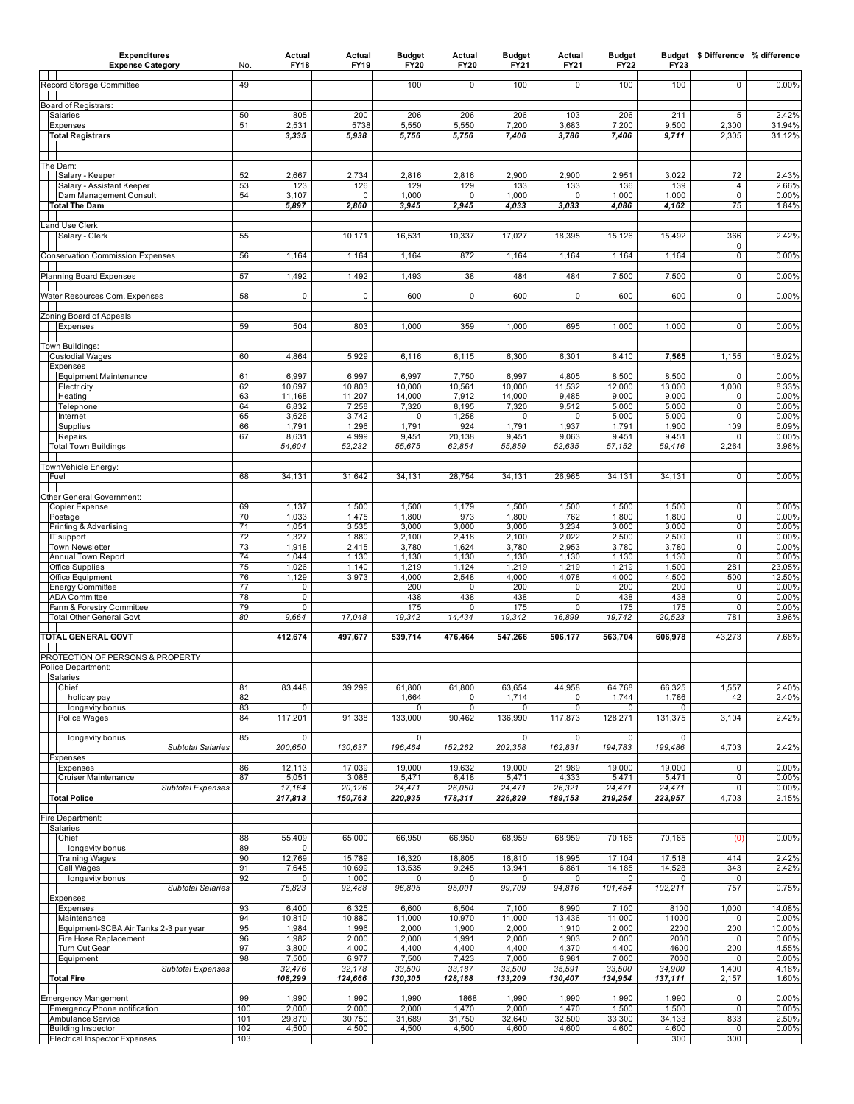| <b>Expenditures</b><br><b>Expense Category</b>                 | No.        | Actual<br><b>FY18</b> | Actual<br>FY19  | <b>Budget</b><br><b>FY20</b> | Actual<br><b>FY20</b> | <b>Budget</b><br>FY21 | Actual<br><b>FY21</b> | <b>Budget</b><br><b>FY22</b> | <b>FY23</b>     |                    | Budget \$Difference % difference |
|----------------------------------------------------------------|------------|-----------------------|-----------------|------------------------------|-----------------------|-----------------------|-----------------------|------------------------------|-----------------|--------------------|----------------------------------|
| Record Storage Committee                                       | 49         |                       |                 | 100                          | $\pmb{0}$             | 100                   | 0                     | 100                          | 100             | 0                  | 0.00%                            |
|                                                                |            |                       |                 |                              |                       |                       |                       |                              |                 |                    |                                  |
| Board of Registrars:<br>Salaries                               | 50         | 805                   | 200             | 206                          | 206                   | 206                   | 103                   | 206                          | 211             | 5                  | 2.42%                            |
| Expenses<br><b>Total Registrars</b>                            | 51         | 2,531<br>3,335        | 5738<br>5,938   | 5,550<br>5,756               | 5,550<br>5,756        | 7,200<br>7,406        | 3,683<br>3,786        | 7,200<br>7,406               | 9,500<br>9,711  | 2,300<br>2,305     | 31.94%<br>31.12%                 |
|                                                                |            |                       |                 |                              |                       |                       |                       |                              |                 |                    |                                  |
| The Dam:                                                       |            |                       |                 |                              |                       |                       |                       |                              |                 |                    |                                  |
| Salary - Keeper                                                | 52         | 2,667                 | 2,734           | 2,816                        | 2,816                 | 2,900                 | 2,900                 | 2,951                        | 3,022           | 72                 | 2.43%                            |
| Salary - Assistant Keeper<br>Dam Management Consult            | 53<br>54   | 123<br>3,107          | 126<br>0        | 129<br>1,000                 | 129<br>0              | 133<br>1,000          | 133<br>0              | 136<br>1,000                 | 139<br>1,000    | 4<br>0             | 2.66%<br>0.00%                   |
| Total The Dam                                                  |            | 5,897                 | 2,860           | 3,945                        | 2,945                 | 4,033                 | 3,033                 | 4,086                        | 4,162           | 75                 | 1.84%                            |
| and Use Clerk                                                  |            |                       |                 |                              |                       |                       |                       |                              |                 |                    |                                  |
| Salary - Clerk                                                 | 55         |                       | 10,171          | 16,531                       | 10,337                | 17,027                | 18,395                | 15,126                       | 15,492          | 366<br>0           | 2.42%                            |
| <b>Conservation Commission Expenses</b>                        | 56         | 1,164                 | 1,164           | 1,164                        | 872                   | 1,164                 | 1,164                 | 1,164                        | 1,164           | 0                  | 0.00%                            |
| Planning Board Expenses                                        | 57         | 1,492                 | 1,492           | 1,493                        | 38                    | 484                   | 484                   | 7,500                        | 7,500           | 0                  | 0.00%                            |
| Water Resources Com. Expenses                                  | 58         | 0                     | 0               | 600                          | 0                     | 600                   | 0                     | 600                          | 600             | 0                  | 0.00%                            |
|                                                                |            |                       |                 |                              |                       |                       |                       |                              |                 |                    |                                  |
| Zoning Board of Appeals<br>Expenses                            | 59         | 504                   | 803             | 1,000                        | 359                   | 1,000                 | 695                   | 1,000                        | 1,000           | $\mathbf 0$        | 0.00%                            |
|                                                                |            |                       |                 |                              |                       |                       |                       |                              |                 |                    |                                  |
| Town Buildings:<br><b>Custodial Wages</b>                      | 60         | 4,864                 | 5,929           | 6,116                        | 6,115                 | 6,300                 | 6,301                 | 6,410                        | 7,565           | 1,155              | 18.02%                           |
| Expenses<br><b>Equipment Maintenance</b>                       | 61         | 6,997                 | 6,997           | 6,997                        | 7,750                 | 6,997                 | 4,805                 | 8,500                        | 8,500           | 0                  | 0.00%                            |
| Electricity                                                    | 62         | 10,697                | 10,803          | 10,000                       | 10,561                | 10,000                | 11,532                | 12,000                       | 13,000          | 1,000              | 8.33%                            |
| Heating<br>Telephone                                           | 63<br>64   | 11,168<br>6,832       | 11,207<br>7,258 | 14,000<br>7,320              | 7,912<br>8,195        | 14,000<br>7,320       | 9,485<br>9,512        | 9,000<br>5,000               | 9,000<br>5,000  | 0<br>0             | 0.00%<br>0.00%                   |
| Internet                                                       | 65         | 3,626                 | 3,742           | 0                            | 1,258                 | 0                     | 0                     | 5,000                        | 5,000           | 0                  | 0.00%                            |
| Supplies<br>Repairs                                            | 66<br>67   | 1,791<br>8,631        | 1,296<br>4,999  | 1,791<br>9,451               | 924<br>20,138         | 1,791<br>9,451        | 1,937<br>9,063        | 1,791<br>9,451               | 1,900<br>9,451  | 109<br>0           | 6.09%<br>0.00%                   |
| <b>Total Town Buildings</b>                                    |            | 54,604                | 52,232          | 55,675                       | 62,854                | 55,859                | 52,635                | 57,152                       | 59,416          | 2,264              | 3.96%                            |
| TownVehicle Energy:                                            |            |                       |                 |                              |                       |                       |                       |                              |                 |                    |                                  |
| Fuel                                                           | 68         | 34,131                | 31,642          | 34,131                       | 28,754                | 34,131                | 26,965                | 34,131                       | 34,131          | $\mathbf 0$        | 0.00%                            |
| Other General Government:                                      | 69         | 1,137                 |                 | 1,500                        |                       | 1,500                 |                       | 1,500                        | 1,500           | $\mathbf 0$        | 0.00%                            |
| <b>Copier Expense</b><br>Postage                               | 70         | 1,033                 | 1,500<br>1,475  | 1,800                        | 1,179<br>973          | 1,800                 | 1,500<br>762          | 1,800                        | 1,800           | 0                  | 0.00%                            |
| Printing & Advertising<br>IT support                           | 71<br>72   | 1,051<br>1,327        | 3,535<br>1,880  | 3,000<br>2,100               | 3,000<br>2,418        | 3,000<br>2,100        | 3,234<br>2,022        | 3,000<br>2,500               | 3,000<br>2,500  | $\mathbf 0$<br>0   | 0.00%<br>0.00%                   |
| Town Newsletter                                                | 73         | 1,918                 | 2,415           | 3,780                        | 1,624                 | 3,780                 | 2,953                 | 3,780                        | 3,780           | 0                  | 0.00%                            |
| Annual Town Report<br>Office Supplies                          | 74<br>75   | 1,044<br>1,026        | 1,130<br>1,140  | 1,130<br>1,219               | 1,130<br>1,124        | 1,130<br>1,219        | 1,130<br>1,219        | 1,130<br>1,219               | 1,130<br>1,500  | 0<br>281           | 0.00%<br>23.05%                  |
| Office Equipment                                               | 76         | 1,129                 | 3,973           | 4,000                        | 2,548                 | 4,000                 | 4,078                 | 4,000                        | 4,500           | 500                | 12.50%                           |
| Energy Committee<br><b>ADA Committee</b>                       | 77<br>78   | 0<br>0                |                 | 200<br>438                   | 0<br>438              | 200<br>438            | 0<br>0                | 200<br>438                   | 200<br>438      | 0<br>0             | 0.00%<br>0.00%                   |
| Farm & Forestry Committee<br><b>Total Other General Govt</b>   | 79<br>80   | 0<br>9,664            | 17,048          | 175<br>19,342                | 0<br>14,434           | 175<br>19,342         | 0<br>16,899           | 175<br>19,742                | 175<br>20,523   | 0<br>781           | 0.00%<br>3.96%                   |
|                                                                |            |                       |                 |                              |                       |                       |                       |                              |                 |                    |                                  |
| <b>TOTAL GENERAL GOVT</b>                                      |            | 412,674               | 497,677         | 539,714                      | 476,464               | 547,266               | 506,177               | 563,704                      | 606,978         | 43,273             | 7.68%                            |
| PROTECTION OF PERSONS & PROPERTY                               |            |                       |                 |                              |                       |                       |                       |                              |                 |                    |                                  |
| Police Department:<br>Salaries                                 |            |                       |                 |                              |                       |                       |                       |                              |                 |                    |                                  |
| Chief<br>holiday pay                                           | 81<br>82   | 83,448                | 39,299          | 61,800<br>1,664              | 61,800<br>0           | 63,654<br>1,714       | 44,958<br>0           | 64,768<br>1,744              | 66,325<br>1,786 | 1,557<br>42        | 2.40%<br>2.40%                   |
| longevity bonus                                                | 83         | 0                     |                 | 0                            | $\mathbf 0$           | 0                     | 0                     | 0                            | 0               |                    |                                  |
| Police Wages                                                   | 84         | 117,201               | 91,338          | 133,000                      | 90,462                | 136,990               | 117,873               | 128,271                      | 131,375         | 3,104              | 2.42%                            |
| longevity bonus<br><b>Subtotal Salaries</b>                    | 85         | 0<br>200,650          | 130,637         | 0<br>196,464                 | 152,262               | 0<br>202,358          | 0<br>162,831          | 0<br>194,783                 | 0<br>199,486    | 4,703              | 2.42%                            |
| Expenses                                                       |            |                       |                 |                              |                       |                       |                       |                              |                 |                    |                                  |
| Expenses<br><b>Cruiser Maintenance</b>                         | 86<br>87   | 12,113<br>5,051       | 17,039<br>3,088 | 19,000<br>5,471              | 19,632<br>6,418       | 19,000<br>5,471       | 21,989<br>4,333       | 19,000<br>5,471              | 19,000<br>5,471 | 0<br>$\mathbf 0$   | 0.00%<br>0.00%                   |
| Subtotal Expenses                                              |            | 17,164                | 20,126          | 24,471                       | 26,050                | 24,471                | 26,321                | 24,471                       | 24,471          | 0                  | 0.00%                            |
| <b>Total Police</b>                                            |            | 217,813               | 150,763         | 220,935                      | 178,311               | 226,829               | 189,153               | 219,254                      | 223,957         | 4,703              | 2.15%                            |
| Fire Department:<br>Salaries                                   |            |                       |                 |                              |                       |                       |                       |                              |                 |                    |                                  |
| Chief                                                          | 88         | 55,409                | 65,000          | 66,950                       | 66,950                | 68,959                | 68,959                | 70,165                       | 70,165          | (0)                | 0.00%                            |
| longevity bonus<br><b>Training Wages</b>                       | 89<br>90   | 0<br>12,769           | 15,789          | 16,320                       | 18,805                | 16,810                | 18,995                | 17,104                       | 17,518          | 414                | 2.42%                            |
| Call Wages                                                     | 91         | 7,645                 | 10,699          | 13,535                       | 9,245                 | 13,941                | 6,861                 | 14,185                       | 14,528          | 343                | 2.42%                            |
| longevity bonus<br><b>Subtotal Salaries</b>                    | 92         | 0<br>75,823           | 1,000<br>92,488 | 0<br>96,805                  | 0<br>95,001           | 0<br>99,709           | 0<br>94,816           | $\mathbf 0$<br>101,454       | 0<br>102,211    | 0<br>757           | 0.75%                            |
| Expenses<br>Expenses                                           | 93         | 6,400                 | 6,325           | 6,600                        | 6,504                 | 7,100                 | 6,990                 | 7,100                        | 8100            | 1,000              | 14.08%                           |
| Maintenance                                                    | 94         | 10,810                | 10,880          | 11,000                       | 10,970                | 11,000                | 13,436                | 11,000                       | 11000           | 0                  | 0.00%                            |
| Equipment-SCBA Air Tanks 2-3 per year<br>Fire Hose Replacement | 95<br>96   | 1,984<br>1,982        | 1,996<br>2,000  | 2,000<br>2,000               | 1,900<br>1,991        | 2,000<br>2,000        | 1,910<br>1,903        | 2,000<br>2,000               | 2200<br>2000    | 200<br>0           | 10.00%<br>0.00%                  |
| Turn Out Gear                                                  | 97         | 3,800                 | 4,000           | 4,400                        | 4,400                 | 4,400                 | 4,370                 | 4,400                        | 4600            | 200                | 4.55%                            |
| Equipment<br><b>Subtotal Expenses</b>                          | 98         | 7,500<br>32,476       | 6,977<br>32,178 | 7,500<br>33,500              | 7,423<br>33,187       | 7,000<br>33,500       | 6,981<br>35,591       | 7,000<br>33,500              | 7000<br>34,900  | 0<br>1,400         | 0.00%<br>4.18%                   |
| Total Fire                                                     |            | 108,299               | 124,666         | 130,305                      | 128,188               | 133,209               | 130,407               | 134,954                      | 137,111         | 2,157              | 1.60%                            |
| <b>Emergency Mangement</b>                                     | 99         | 1,990                 | 1,990           | 1,990                        | 1868                  | 1,990                 | 1,990                 | 1,990                        | 1,990           | 0                  | 0.00%                            |
| Emergency Phone notification<br>Ambulance Service              | 100<br>101 | 2,000<br>29,870       | 2,000<br>30,750 | 2,000<br>31,689              | 1,470<br>31,750       | 2,000<br>32,640       | 1,470<br>32,500       | 1,500<br>33,300              | 1,500<br>34,133 | $\mathbf 0$<br>833 | 0.00%<br>2.50%                   |
| <b>Building Inspector</b>                                      | 102        | 4,500                 | 4,500           | 4,500                        | 4,500                 | 4,600                 | 4,600                 | 4,600                        | 4,600           | 0                  | 0.00%                            |
| <b>Electrical Inspector Expenses</b>                           | 103        |                       |                 |                              |                       |                       |                       |                              | 300             | 300                |                                  |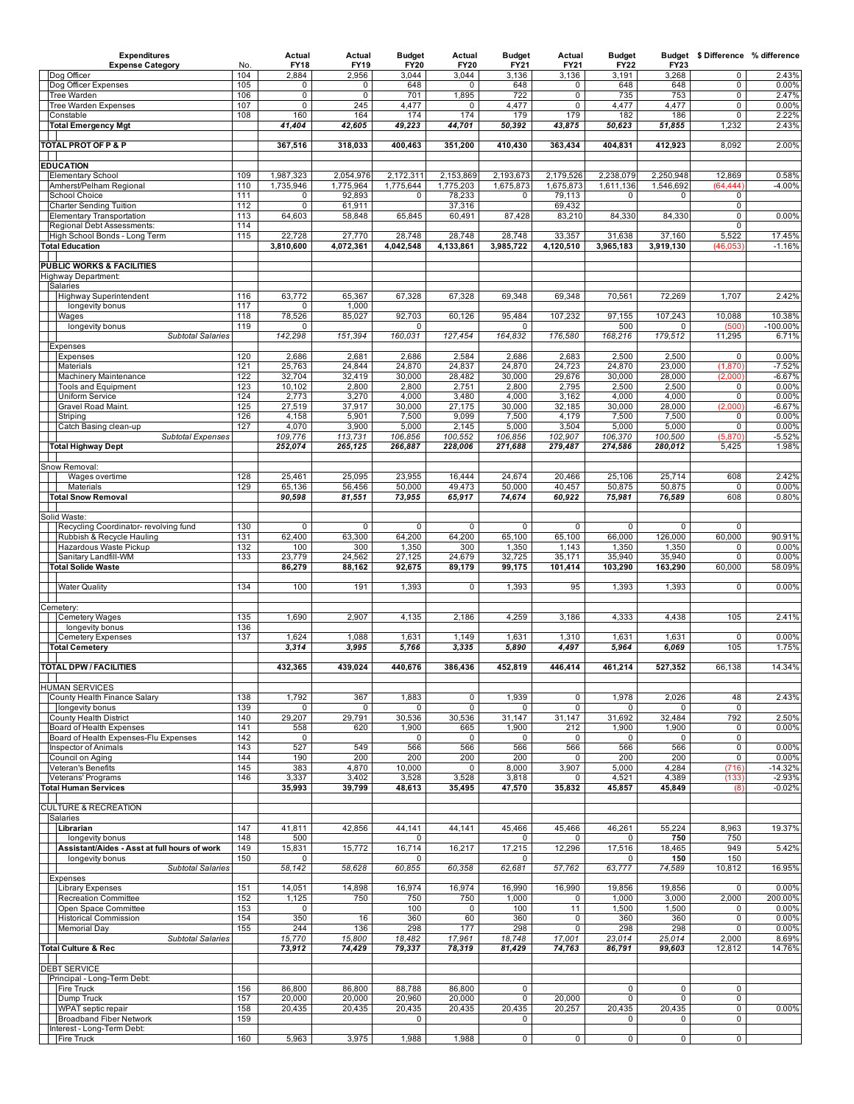| <b>Expenditures</b><br><b>Expense Category</b>                     | No.        | Actual<br><b>FY18</b>    | Actual<br><b>FY19</b>  | <b>Budget</b><br><b>FY20</b> | Actual<br><b>FY20</b>  | <b>Budget</b><br><b>FY21</b> | Actual<br><b>FY21</b>  | <b>Budget</b><br><b>FY22</b> | <b>FY23</b>            | Budget \$Difference % difference |                    |
|--------------------------------------------------------------------|------------|--------------------------|------------------------|------------------------------|------------------------|------------------------------|------------------------|------------------------------|------------------------|----------------------------------|--------------------|
| Dog Officer                                                        | 104        | 2,884                    | 2,956                  | 3,044                        | 3,044                  | 3,136                        | 3,136                  | 3,191                        | 3,268                  | $\mathbf 0$                      | 2.43%              |
| Dog Officer Expenses<br>Tree Warden                                | 105<br>106 | 0<br>0                   | 0<br>0                 | 648<br>701                   | 0<br>1,895             | 648<br>722                   | 0<br>0                 | 648<br>735                   | 648<br>753             | 0<br>0                           | 0.00%<br>2.47%     |
| Tree Warden Expenses                                               | 107        | $\overline{0}$           | 245                    | 4,477                        | 0                      | 4,477                        | 0                      | 4,477                        | 4,477                  | $\overline{0}$                   | 0.00%              |
| Constable<br><b>Total Emergency Mgt</b>                            | 108        | 160<br>41,404            | 164<br>42,605          | 174<br>49,223                | 174<br>44,701          | 179<br>50,392                | 179<br>43,875          | 182<br>50,623                | 186<br>51,855          | 0<br>1,232                       | 2.22%<br>2.43%     |
|                                                                    |            |                          |                        |                              |                        |                              |                        |                              |                        |                                  |                    |
| <b>TOTAL PROT OF P &amp; P</b>                                     |            | 367,516                  | 318,033                | 400,463                      | 351,200                | 410,430                      | 363,434                | 404,831                      | 412,923                | 8,092                            | 2.00%              |
| <b>EDUCATION</b>                                                   |            |                          |                        |                              |                        |                              |                        |                              |                        |                                  |                    |
| <b>Elementary School</b><br>Amherst/Pelham Regional                | 109<br>110 | 1,987,323<br>1,735,946   | 2,054,976<br>1,775,964 | 2,172,311<br>1,775,644       | 2,153,869<br>1,775,203 | 2,193,673<br>1,675,873       | 2,179,526<br>1,675,873 | 2,238,079<br>1,611,136       | 2,250,948<br>1,546,692 | 12,869<br>(64, 444)              | 0.58%<br>$-4.00%$  |
| School Choice                                                      | 111        | 0                        | 92,893                 | 0                            | 78,233                 | 0                            | 79,113                 | 0                            | 0                      | 0                                |                    |
| <b>Charter Sending Tuition</b><br><b>Elementary Transportation</b> | 112<br>113 | $\overline{0}$<br>64,603 | 61,911<br>58,848       | 65,845                       | 37,316<br>60,491       | 87,428                       | 69,432<br>83,210       | 84,330                       | 84,330                 | $\overline{0}$<br>0              | 0.00%              |
| Regional Debt Assessments:                                         | 114        |                          |                        |                              |                        |                              |                        |                              |                        | 0                                |                    |
| High School Bonds - Long Term<br><b>Total Education</b>            | 115        | 22,728<br>3,810,600      | 27,770<br>4,072,361    | 28,748<br>4,042,548          | 28,748<br>4,133,861    | 28,748<br>3,985,722          | 33,357<br>4,120,510    | 31,638<br>3,965,183          | 37,160<br>3,919,130    | 5,522<br>(46, 053)               | 17.45%<br>$-1.16%$ |
|                                                                    |            |                          |                        |                              |                        |                              |                        |                              |                        |                                  |                    |
| PUBLIC WORKS & FACILITIES<br>Highway Department:                   |            |                          |                        |                              |                        |                              |                        |                              |                        |                                  |                    |
| Salaries                                                           |            |                          |                        |                              |                        |                              |                        |                              |                        |                                  |                    |
| <b>Highway Superintendent</b><br>longevity bonus                   | 116<br>117 | 63,772<br>$\Omega$       | 65,367<br>1,000        | 67,328                       | 67,328                 | 69,348                       | 69,348                 | 70,561                       | 72,269                 | 1,707                            | 2.42%              |
| Wages                                                              | 118        | 78,526                   | 85,027                 | 92,703                       | 60,126                 | 95,484                       | 107,232                | 97,155                       | 107,243                | 10,088                           | 10.38%             |
| longevity bonus                                                    | 119        | 0                        |                        | 0                            |                        | 0                            |                        | 500                          | 0                      | (500)                            | $-100.00%$         |
| <b>Subtotal Salaries</b><br>Expenses                               |            | 142,298                  | 151,394                | 160,031                      | 127,454                | 164,832                      | 176,580                | 168,216                      | 179,512                | 11,295                           | 6.71%              |
| Expenses<br>Materials                                              | 120<br>121 | 2,686<br>25,763          | 2,681<br>24,844        | 2,686<br>24,870              | 2,584<br>24,837        | 2,686<br>24,870              | 2,683<br>24,723        | 2,500<br>24,870              | 2,500<br>23,000        | $\overline{0}$<br>(1, 870)       | 0.00%<br>$-7.52%$  |
| Machinery Maintenance                                              | 122        | 32,704                   | 32,419                 | 30,000                       | 28,482                 | 30,000                       | 29,676                 | 30,000                       | 28,000                 | (2.000)                          | $-6.67%$           |
| <b>Tools and Equipment</b>                                         | 123<br>124 | 10,102<br>2,773          | 2,800<br>3,270         | 2,800<br>4,000               | 2,751<br>3,480         | 2,800<br>4,000               | 2,795<br>3,162         | 2,500<br>4,000               | 2,500<br>4,000         | 0<br>0                           | 0.00%<br>0.00%     |
| <b>Uniform Service</b><br>Gravel Road Maint.                       | 125        | 27,519                   | 37,917                 | 30,000                       | 27,175                 | 30,000                       | 32,185                 | 30,000                       | 28,000                 | (2,000)                          | $-6.67%$           |
| Striping                                                           | 126        | 4,158                    | 5,901                  | 7,500                        | 9,099                  | 7,500                        | 4,179                  | 7,500                        | 7,500                  | 0                                | 0.00%              |
| Catch Basing clean-up<br><b>Subtotal Expenses</b>                  | 127        | 4,070<br>109,776         | 3,900<br>113,731       | 5,000<br>106,856             | 2,145<br>100,552       | 5,000<br>106,856             | 3,504<br>102,907       | 5,000<br>106,370             | 5,000<br>100,500       | 0<br>(5, 870)                    | 0.00%<br>$-5.52%$  |
| <b>Total Highway Dept</b>                                          |            | 252,074                  | 265,125                | 266,887                      | 228,006                | 271,688                      | 279,487                | 274,586                      | 280,012                | 5,425                            | 1.98%              |
| Snow Removal:                                                      |            |                          |                        |                              |                        |                              |                        |                              |                        |                                  |                    |
| Wages overtime                                                     | 128        | 25,461                   | 25,095                 | 23,955                       | 16,444                 | 24,674                       | 20,466                 | 25,106                       | 25,714                 | 608                              | 2.42%              |
| Materials<br><b>Total Snow Removal</b>                             | 129        | 65,136<br>90,598         | 56,456<br>81,551       | 50,000<br>73,955             | 49,473<br>65,917       | 50,000<br>74,674             | 40,457<br>60,922       | 50,875<br>75,981             | 50,875<br>76,589       | 0<br>608                         | 0.00%<br>0.80%     |
|                                                                    |            |                          |                        |                              |                        |                              |                        |                              |                        |                                  |                    |
| Solid Waste:<br>Recycling Coordinator- revolving fund              | 130        | 0                        | 0                      | 0                            | 0                      | 0                            | $\mathbf{0}$           | $\mathsf{O}$                 | 0                      | $\mathbf 0$                      |                    |
| Rubbish & Recycle Hauling                                          | 131        | 62,400                   | 63,300                 | 64,200                       | 64,200                 | 65,100                       | 65,100                 | 66,000                       | 126,000                | 60,000                           | 90.91%             |
| Hazardous Waste Pickup<br>Sanitary Landfill-WM                     | 132<br>133 | 100<br>23,779            | 300<br>24,562          | 1,350<br>27,125              | 300<br>24,679          | 1,350<br>32,725              | 1,143<br>35,171        | 1,350<br>35,940              | 1,350<br>35,940        | 0<br>0                           | 0.00%<br>0.00%     |
| <b>Total Solide Waste</b>                                          |            | 86,279                   | 88,162                 | 92,675                       | 89,179                 | 99,175                       | 101,414                | 103,290                      | 163,290                | 60,000                           | 58.09%             |
| <b>Water Quality</b>                                               | 134        | 100                      | 191                    | 1,393                        | 0                      | 1,393                        | 95                     | 1,393                        | 1,393                  | 0                                | 0.00%              |
|                                                                    |            |                          |                        |                              |                        |                              |                        |                              |                        |                                  |                    |
| Cemetery:<br><b>Cemetery Wages</b>                                 | 135        | 1,690                    | 2,907                  | 4,135                        | 2,186                  | 4,259                        | 3,186                  | 4,333                        | 4,438                  | 105                              | 2.41%              |
| longevity bonus                                                    | 136        |                          |                        |                              |                        |                              |                        |                              |                        |                                  |                    |
| <b>Cemetery Expenses</b><br><b>Total Cemetery</b>                  | 137        | 1,624<br>3,314           | 1,088<br>3,995         | 1,631<br>5,766               | 1,149<br>3,335         | 1,631<br>5,890               | 1,310<br>4,497         | 1,631<br>5,964               | 1,631<br>6,069         | $\mathbf 0$<br>105               | 0.00%<br>1.75%     |
|                                                                    |            |                          |                        |                              |                        |                              |                        |                              |                        |                                  |                    |
| <b>TOTAL DPW / FACILITIES</b>                                      |            | 432,365                  | 439,024                | 440,676                      | 386,436                | 452,819                      | 446,414                | 461,214                      | 527,352                | 66,138                           | 14.34%             |
| <b>HUMAN SERVICES</b>                                              |            |                          |                        |                              |                        |                              |                        |                              |                        |                                  |                    |
| County Health Finance Salary<br>longevity bonus                    | 138<br>139 | 1,792<br>$\Omega$        | 367<br>0               | 1,883<br><sup>0</sup>        | 0<br>$\mathbf 0$       | 1,939<br>$\Omega$            | 0<br>0                 | 1,978<br>0                   | 2,026<br>0             | 48<br>$\mathbf 0$                | 2.43%              |
| County Health District                                             | 140        | 29,207                   | 29,791                 | 30,536                       | 30,536                 | 31,147                       | 31,147                 | 31,692                       | 32,484                 | 792                              | 2.50%              |
| Board of Health Expenses<br>Board of Health Expenses-Flu Expenses  | 141<br>142 | 558<br>0                 | 620                    | 1,900<br>0                   | 665<br>0               | 1,900<br>0                   | 212<br>0               | 1,900<br>0                   | 1,900<br>0             | 0<br>0                           | 0.00%              |
| Inspector of Animals                                               | 143        | 527                      | 549                    | 566                          | 566                    | 566                          | 566                    | 566                          | 566                    | 0                                | 0.00%              |
| Council on Aging<br>Veteran's Benefits                             | 144<br>145 | 190<br>383               | 200<br>4,870           | 200<br>10,000                | 200<br>$\mathbf 0$     | 200<br>8,000                 | 0<br>3,907             | 200<br>5,000                 | 200<br>4,284           | 0<br>(716)                       | 0.00%<br>$-14.32%$ |
| Veterans' Programs                                                 | 146        | 3,337                    | 3,402                  | 3,528                        | 3,528                  | 3,818                        | 0                      | 4,521                        | 4,389                  | (133)                            | $-2.93%$           |
| Total Human Services                                               |            | 35,993                   | 39,799                 | 48,613                       | 35,495                 | 47,570                       | 35,832                 | 45,857                       | 45,849                 | (8)                              | $-0.02%$           |
| <b>CULTURE &amp; RECREATION</b>                                    |            |                          |                        |                              |                        |                              |                        |                              |                        |                                  |                    |
| Salaries<br>Librarian                                              | 147        | 41,811                   | 42,856                 | 44,141                       | 44,141                 | 45,466                       | 45,466                 | 46,261                       | 55,224                 | 8,963                            | 19.37%             |
| longevity bonus                                                    | 148        | 500                      |                        | 0                            |                        | 0                            |                        | 0                            | 750                    | 750                              |                    |
| Assistant/Aides - Asst at full hours of work<br>longevity bonus    | 149<br>150 | 15,831<br>$\Omega$       | 15,772                 | 16,714<br>0                  | 16,217                 | 17,215<br>0                  | 12,296                 | 17,516<br>0                  | 18,465<br>150          | 949<br>150                       | 5.42%              |
| <b>Subtotal Salaries</b>                                           |            | 58,142                   | 58,628                 | 60,855                       | 60,358                 | 62,681                       | 57,762                 | 63,777                       | 74,589                 | 10,812                           | 16.95%             |
| Expenses<br><b>Library Expenses</b>                                | 151        | 14,051                   | 14,898                 | 16,974                       | 16,974                 | 16,990                       | 16,990                 | 19,856                       | 19,856                 | $\mathbf 0$                      | 0.00%              |
| Recreation Committee                                               | 152        | 1,125                    | 750                    | 750                          | 750                    | 1,000                        | 0                      | 1,000                        | 3,000                  | 2,000                            | 200.00%            |
| Open Space Committee<br><b>Historical Commission</b>               | 153<br>154 | 0<br>350                 | 16                     | 100<br>360                   | 0<br>60                | 100<br>360                   | 11<br>0                | 1,500<br>360                 | 1,500<br>360           | 0<br>0                           | 0.00%<br>0.00%     |
| <b>Memorial Day</b>                                                | 155        | 244                      | 136                    | 298                          | 177                    | 298                          | 0                      | 298                          | 298                    | 0                                | 0.00%              |
| <b>Subtotal Salaries</b><br><b>Total Culture &amp; Rec</b>         |            | 15,770<br>73,912         | 15,800<br>74,429       | 18,482<br>79,337             | 17,961<br>78,319       | 18,748<br>81,429             | 17,001<br>74,763       | 23,014<br>86,791             | 25,014<br>99,603       | 2,000<br>12,812                  | 8.69%<br>14.76%    |
|                                                                    |            |                          |                        |                              |                        |                              |                        |                              |                        |                                  |                    |
| <b>DEBT SERVICE</b><br>Principal - Long-Term Debt:                 |            |                          |                        |                              |                        |                              |                        |                              |                        |                                  |                    |
| <b>Fire Truck</b>                                                  | 156        | 86,800                   | 86,800                 | 88,788                       | 86,800                 | 0                            |                        | 0                            | 0                      | 0                                |                    |
| Dump Truck<br>WPAT septic repair                                   | 157<br>158 | 20,000<br>20,435         | 20,000<br>20,435       | 20,960<br>20,435             | 20,000<br>20,435       | 0<br>20,435                  | 20,000<br>20,257       | 0<br>20,435                  | 0<br>20,435            | 0<br>0                           | 0.00%              |
| <b>Broadband Fiber Network</b>                                     | 159        |                          |                        | 0                            |                        | 0                            |                        | 0                            | 0                      | 0                                |                    |
| Interest - Long-Term Debt:<br><b>Fire Truck</b>                    | 160        | 5,963                    | 3,975                  | 1,988                        | 1,988                  | 0                            | $\overline{0}$         | $\mathbf 0$                  | 0                      | 0                                |                    |
|                                                                    |            |                          |                        |                              |                        |                              |                        |                              |                        |                                  |                    |